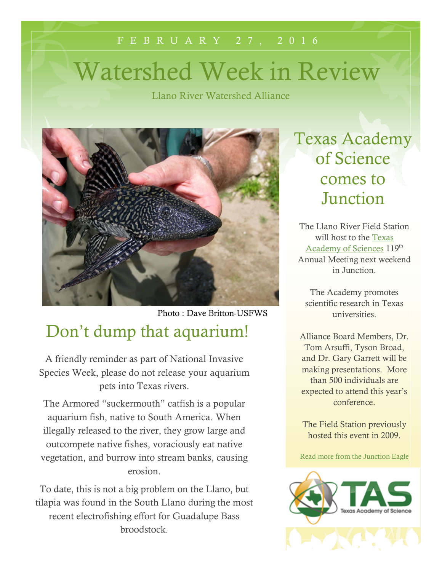# F E B R U A R Y 2 7 , 2 0 1 6 Watershed Week in Review

Llano River Watershed Alliance



Don't dump that aquarium!

A friendly reminder as part of National Invasive Species Week, please do not release your aquarium pets into Texas rivers.

The Armored "suckermouth" catfish is a popular aquarium fish, native to South America. When illegally released to the river, they grow large and outcompete native fishes, voraciously eat native vegetation, and burrow into stream banks, causing erosion.

To date, this is not a big problem on the Llano, but tilapia was found in the South Llano during the most recent electrofishing effort for Guadalupe Bass broodstock.

Texas Academy of Science comes to Junction

The Llano River Field Station will host to the [Texas](http://www.texasacademyofscience.org/about-us)  [Academy of Sciences](http://www.texasacademyofscience.org/about-us) 119<sup>th</sup> Annual Meeting next weekend in Junction.

The Academy promotes scientific research in Texas universities.

Alliance Board Members, Dr. Tom Arsuffi, Tyson Broad, and Dr. Gary Garrett will be making presentations. More than 500 individuals are expected to attend this year's conference.

The Field Station previously hosted this event in 2009.

[Read more from the Junction Eagle](http://southllano.org/blog/wp-content/files/TASAnnual2016.docx)

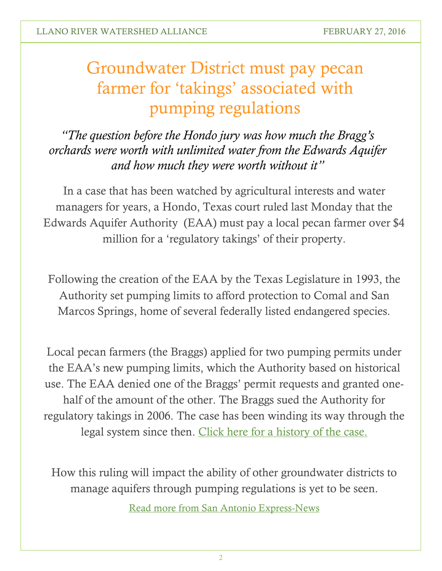## Groundwater District must pay pecan farmer for 'takings' associated with pumping regulations

*"The question before the Hondo jury was how much the Bragg's orchards were worth with unlimited water from the Edwards Aquifer and how much they were worth without it"*

In a case that has been watched by agricultural interests and water managers for years, a Hondo, Texas court ruled last Monday that the Edwards Aquifer Authority (EAA) must pay a local pecan farmer over \$4 million for a 'regulatory takings' of their property.

Following the creation of the EAA by the Texas Legislature in 1993, the Authority set pumping limits to afford protection to Comal and San Marcos Springs, home of several federally listed endangered species.

Local pecan farmers (the Braggs) applied for two pumping permits under the EAA's new pumping limits, which the Authority based on historical use. The EAA denied one of the Braggs' permit requests and granted onehalf of the amount of the other. The Braggs sued the Authority for regulatory takings in 2006. The case has been winding its way through the legal system since then. [Click here for a history of the case.](http://agrilife.org/texasaglaw/2013/08/29/decisions-decisions/)

How this ruling will impact the ability of other groundwater districts to manage aquifers through pumping regulations is yet to be seen.

[Read more from San Antonio Express-News](http://www.expressnews.com/news/local/article/BRAGG-VERDICT-6847721.php)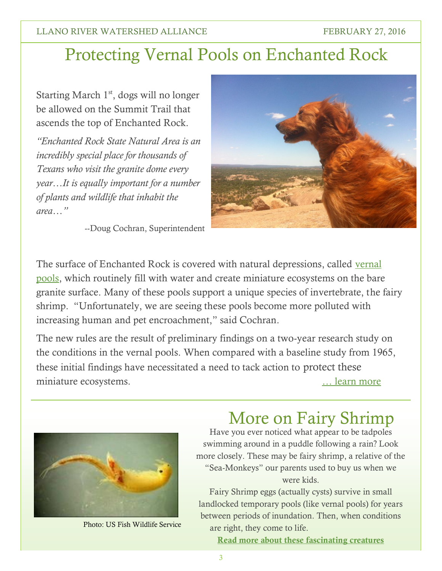#### LLANO RIVER WATERSHED ALLIANCE FEBRUARY 27, 2016

### Protecting Vernal Pools on Enchanted Rock

Starting March  $1<sup>st</sup>$ , dogs will no longer be allowed on the Summit Trail that ascends the top of Enchanted Rock.

*"Enchanted Rock State Natural Area is an incredibly special place for thousands of Texans who visit the granite dome every year…It is equally important for a number of plants and wildlife that inhabit the area…"*

--Doug Cochran, Superintendent



The surface of Enchanted Rock is covered with natural depressions, called vernal [pools,](https://tpwd.texas.gov/publications/pwdpubs/media/pwd_cd_p4507_119p.pdf) which routinely fill with water and create miniature ecosystems on the bare granite surface. Many of these pools support a unique species of invertebrate, the fairy shrimp. "Unfortunately, we are seeing these pools become more polluted with increasing human and pet encroachment," said Cochran.

The new rules are the result of preliminary findings on a two-year research study on the conditions in the vernal pools. When compared with a baseline study from 1965, these initial findings have necessitated a need to tack action to protect these miniature ecosystems. [… learn](http://tpwd.texas.gov/newsmedia/releases/?req=20160225a) more



Photo: US Fish Wildlife Service

#### More on Fairy Shrimp

Have you ever noticed what appear to be tadpoles swimming around in a puddle following a rain? Look more closely. These may be fairy shrimp, a relative of the "Sea-Monkeys" our parents used to buy us when we were kids.

Fairy Shrimp eggs (actually cysts) survive in small landlocked temporary pools (like vernal pools) for years between periods of inundation. Then, when conditions are right, they come to life.

**[Read more about these fascinating creatures](http://www.tpwmagazine.com/archive/2006/jul/legend/)**